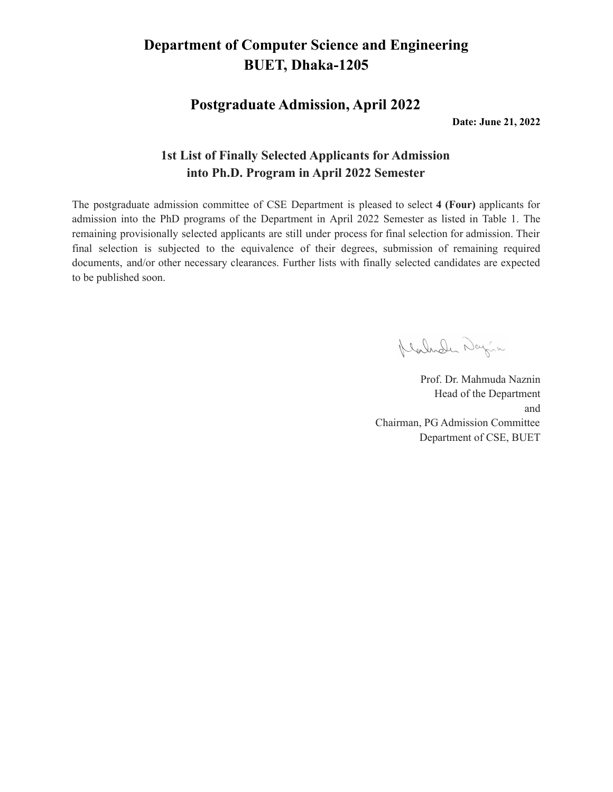## **Department of Computer Science and Engineering BUET, Dhaka-1205**

**Postgraduate Admission, April 2022**

**Date: June 21, 2022**

#### **1st List of Finally Selected Applicants for Admission into Ph.D. Program in April 2022 Semester**

The postgraduate admission committee of CSE Department is pleased to select **4 (Four)** applicants for admission into the PhD programs of the Department in April 2022 Semester as listed in Table 1. The remaining provisionally selected applicants are still under process for final selection for admission. Their final selection is subjected to the equivalence of their degrees, submission of remaining required documents, and/or other necessary clearances. Further lists with finally selected candidates are expected to be published soon.

Klarnder Dayin

Prof. Dr. Mahmuda Naznin Head of the Department and Chairman, PG Admission Committee Department of CSE, BUET